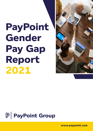# **PayPoint Gender Pay Gap Report 2021**





**www.paypoint.com**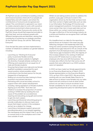# **PayPoint Gender Pay Gap Report 2021**

At PayPoint we are committed to building a diverse and inclusive business where all of our people are treated fairly and with respect, and where the contributions of everyone are recognised and valued. This commitment is captured in our vision to create a dynamic place to work, with a positive and inclusive environment where everyone can learn, grow and shine. Everyone who works at the PayPoint Group should feel respected and able to give their best, and we embrace people with different backgrounds and identities, valuing their contribution to achieving our strategic priorities. At the PayPoint Group, we call this 'Welcoming Everyone'.

Over the last few years we have implemented a number of initiatives to address our gender balance including:

- Launching our 'Working for Everyone' policy to promote flexible working
- Updating our careers website to highlight the diversity of people already working for us
- Offering work experience to an equal mix of male and female students
- Ensuring that at least one male and one female qualified candidate is presented for each vacant position where possible, whilst continuing to hire the best person for the job, irrespective of background
- Rolling out unconscious bias training to those involved in recruitment decisions
- Partnering with a local secondary school to support them with careers development including raising aspirations of female students
- Signing up to the PWC 'Tech She Can' initiative to increase the proportion of women working in STEM roles by tackling the root cause of the problem at a societal level, inspiring and educating young girls and women to get into tech careers
- Launching a professional networking group to provide a safe place to discuss topics and issues that impact women in the workplace and act as a catalyst for change
- Launching a menopause support group and providing education to our people regarding the menopause and the impact that it can have on women both in the workplace and in their lives outside of work

Whilst we are taking positive action to address the position, a pay gap continues to exist in the organisation driven by the fact that we have more men than women in higher paid roles such as roles in our Information Technology (IT) function and senior management positions. Conversely we have more women than men in lower paid roles such as those within our contact centre and operations. Our gap is reflective of the technology industry as a whole and therefore we recognise that it will take time to close.

At a headline level, our data for the reporting period shows an increase in the mean pay gap reflecting changes in the leadership team and hiring into senior positions during the period. The median bonus gap reduced to 0% as a result of the payment of an all employee bonus, and whilst the mean bonus gap increased to 55%, the majority of this increase related to the vesting of deferred bonus and LTIP shares due to a senior male employee who has since left the business. The increase also reflects the fact that some one off awards that were reflected in our 2020 numbers were not repeated.

In 2022 we have made two female appointments to our Executive Board and as of March 2022 female representation on the Executive Board is 31%, up from 25% in April 2021. We are actively working with our new female Sales Director to take actions to attract more females into our sales teams and will continue to look at what further actions we can take to ensure we attract more female candidates for all of our roles as well as supporting development plans for identified talent.

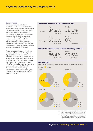#### **Our numbers**

The gender pay gap reflects the distribution of men and women across the organisation, regardless of seniority or role. Gender pay is different to equal pay which deals with the pay differences between men and women who carry out the same jobs, similar jobs or work of equal value. Our pay philosophy aims to pay fairly and equitably relative to an individual's role, skills, experience and performance. We review our pay annually to ensure that there is no gender bias and we are comfortable in this regard.

These numbers reflect the 464 full-pay relevant employees of PayPoint plc and PayPoint Network Limited who were employed on 5 April 2021. Employees of Handepay and Merchant Rentals, acquired on 5th February 2021 will be incorporated into our voluntary Group reporting with effect from 2022. Our statutory reporting requirement in respect of PayPoint Network Limited, our only entity employing the minimum 250 employees required for disclosure, can be found at the end of this report.

#### **Difference between male and female pay**



#### **Proportion of males and females receiving a bonus**



### **Pay quartiles**

Illustrating the gender pay distribution across four equally sized quartiles



1. Pay gap is calculated by comparing the hourly rate

paid for men and women via payroll in April 2021

2. Bonus gap is calculated by comparing all bonuses paid during the 12 months prior to 5th April 2021. The definition of bonuses includes cash bonuses, deferred awards that vested, sales commission and SIP awards sold that were subject to tax